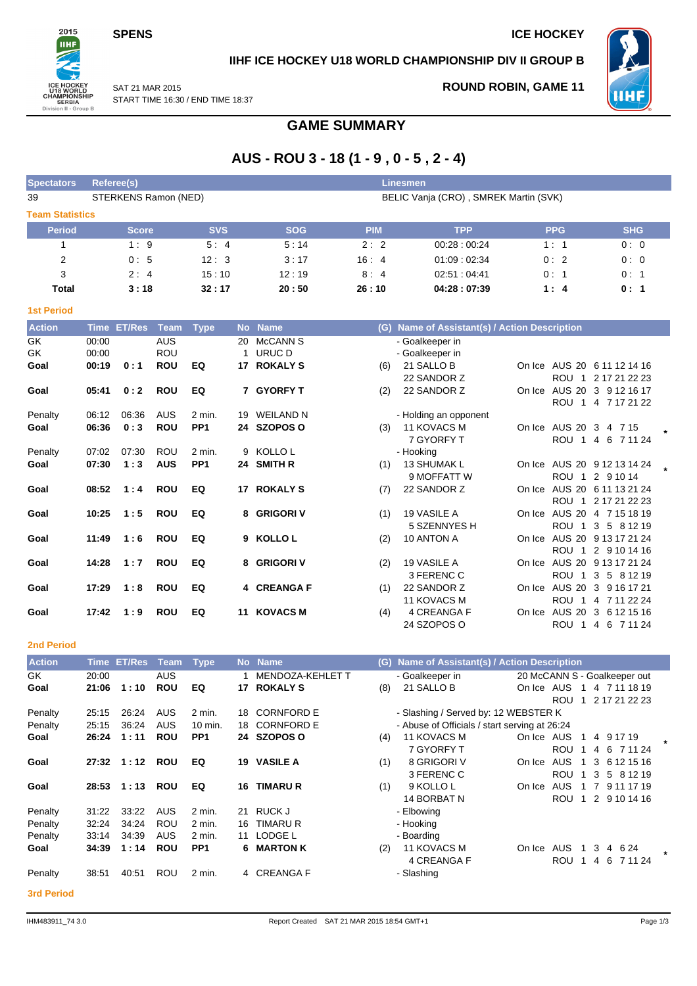**SPENS** ICE HOCKEY



**IIHF ICE HOCKEY U18 WORLD CHAMPIONSHIP DIV II GROUP B**



SAT 21 MAR 2015 START TIME 16:30 / END TIME 18:37 **ROUND ROBIN, GAME 11**

# **GAME SUMMARY**

# **AUS - ROU 3 - 18 (1 - 9 , 0 - 5 , 2 - 4)**

| <b>Spectators</b>                 | <b>Referee(s)</b>    |            |            | Linesmen   |                                       |            |            |
|-----------------------------------|----------------------|------------|------------|------------|---------------------------------------|------------|------------|
| 39                                | STERKENS Ramon (NED) |            |            |            | BELIC Vanja (CRO), SMREK Martin (SVK) |            |            |
| <b>Team Statistics</b>            |                      |            |            |            |                                       |            |            |
| <b>Period</b>                     | <b>Score</b>         | <b>SVS</b> | <b>SOG</b> | <b>PIM</b> | <b>TPP</b>                            | <b>PPG</b> | <b>SHG</b> |
|                                   | 1:9                  | 5:4        | 5:14       | 2:2        | 00:28:00:24                           | 1:1        | 0:0        |
| 2                                 | 0:5                  | 12:3       | 3:17       | 16:4       | 01:09:02:34                           | 0:2        | 0:0        |
| 3                                 | 2:4                  | 15:10      | 12:19      | 8:4        | 02.51:04.41                           | 0:1        | 0:1        |
| Total                             | 3:18                 | 32:17      | 20:50      | 26:10      | 04:28:07:39                           | 1:4        | 0:1        |
| <b>1st Period</b>                 |                      |            |            |            |                                       |            |            |
| <b>Contract Contract Contract</b> |                      | __         |            |            |                                       |            |            |

| <b>Action</b> | Time  | <b>ET/Res</b> | <b>Team</b> | <b>Type</b>     | <b>No</b> | <b>Name</b>     | (G) | Name of Assistant(s) / Action Description |        |                  |                             |  |
|---------------|-------|---------------|-------------|-----------------|-----------|-----------------|-----|-------------------------------------------|--------|------------------|-----------------------------|--|
| GK            | 00:00 |               | <b>AUS</b>  |                 | 20        | <b>McCANN S</b> |     | - Goalkeeper in                           |        |                  |                             |  |
| GK            | 00:00 |               | <b>ROU</b>  |                 |           | URUC D          |     | - Goalkeeper in                           |        |                  |                             |  |
| Goal          | 00:19 | 0:1           | <b>ROU</b>  | EQ              | 17        | <b>ROKALY S</b> | (6) | 21 SALLO B                                |        |                  | On Ice AUS 20 6 11 12 14 16 |  |
|               |       |               |             |                 |           |                 |     | 22 SANDOR Z                               |        |                  | ROU 1 2 17 21 22 23         |  |
| Goal          | 05:41 | 0:2           | <b>ROU</b>  | EQ              |           | 7 GYORFY T      | (2) | 22 SANDOR Z                               | On Ice |                  | AUS 20 3 9 12 16 17         |  |
|               |       |               |             |                 |           |                 |     |                                           |        |                  | ROU 1 4 7 17 21 22          |  |
| Penalty       | 06:12 | 06:36         | AUS         | 2 min.          |           | 19 WEILAND N    |     | - Holding an opponent                     |        |                  |                             |  |
| Goal          | 06:36 | 0:3           | <b>ROU</b>  | PP <sub>1</sub> |           | 24 SZOPOS O     | (3) | 11 KOVACS M                               |        |                  | On Ice AUS 20 3 4 7 15      |  |
|               |       |               |             |                 |           |                 |     | 7 GYORFY T                                |        |                  | ROU 1 4 6 7 11 24           |  |
| Penalty       | 07:02 | 07:30         | <b>ROU</b>  | $2$ min.        |           | 9 KOLLOL        |     | - Hooking                                 |        |                  |                             |  |
| Goal          | 07:30 | 1:3           | <b>AUS</b>  | PP <sub>1</sub> | 24        | <b>SMITH R</b>  | (1) | 13 SHUMAK L                               |        |                  | On Ice AUS 20 9 12 13 14 24 |  |
|               |       |               |             |                 |           |                 |     | 9 MOFFATT W                               |        |                  | ROU 1 2 9 10 14             |  |
| Goal          | 08:52 | 1:4           | <b>ROU</b>  | EQ              | 17        | <b>ROKALY S</b> | (7) | 22 SANDOR Z                               | On Ice |                  | AUS 20 6 11 13 21 24        |  |
|               |       |               |             |                 |           |                 |     |                                           |        |                  | ROU 1 2 17 21 22 23         |  |
| Goal          | 10:25 | 1:5           | <b>ROU</b>  | EQ              |           | 8 GRIGORI V     | (1) | 19 VASILE A                               | On Ice |                  | AUS 20 4 7 15 18 19         |  |
|               |       |               |             |                 |           |                 |     | 5 SZENNYES H                              |        | ROU <sub>1</sub> | 3 5 8 1 2 1 9               |  |
| Goal          | 11:49 | 1:6           | <b>ROU</b>  | EQ              |           | 9 KOLLOL        | (2) | 10 ANTON A                                | On Ice |                  | AUS 20 9 13 17 21 24        |  |
|               |       |               |             |                 |           |                 |     |                                           |        | ROU 1            | 2 9 10 14 16                |  |
| Goal          | 14:28 | 1:7           | <b>ROU</b>  | EQ              |           | 8 GRIGORI V     | (2) | 19 VASILE A                               | On Ice |                  | AUS 20 9 13 17 21 24        |  |
|               |       |               |             |                 |           |                 |     | 3 FERENC C                                |        | ROU <sub>1</sub> | 3 5 8 1 2 1 9               |  |
| Goal          | 17:29 | 1:8           | <b>ROU</b>  | EQ              |           | 4 CREANGA F     | (1) | 22 SANDOR Z                               | On Ice |                  | AUS 20 3 9 16 17 21         |  |
|               |       |               |             |                 |           |                 |     | <b>11 KOVACS M</b>                        |        | ROU 1            | 4 7 11 22 24                |  |
| Goal          | 17:42 | 1:9           | <b>ROU</b>  | EQ              | 11        | <b>KOVACS M</b> | (4) | 4 CREANGA F                               | On Ice |                  | AUS 20 3 6 12 15 16         |  |
|               |       |               |             |                 |           |                 |     | 24 SZOPOS O                               |        |                  | ROU 1 4 6 7 11 24           |  |

**2nd Period**

| <b>Action</b> | Time  | <b>ET/Res</b> | Team       | <b>Type</b>     |     | No Name                 |     | (G) Name of Assistant(s) / Action Description |                              |            |     |    |               |         |
|---------------|-------|---------------|------------|-----------------|-----|-------------------------|-----|-----------------------------------------------|------------------------------|------------|-----|----|---------------|---------|
| GK            | 20:00 |               | AUS        |                 |     | <b>MENDOZA-KEHLET T</b> |     | - Goalkeeper in                               | 20 McCANN S - Goalkeeper out |            |     |    |               |         |
| Goal          | 21:06 | 1:10          | <b>ROU</b> | EQ              | 17  | <b>ROKALY S</b>         | (8) | 21 SALLO B                                    | On Ice AUS                   |            |     |    | 4 7 11 18 19  |         |
|               |       |               |            |                 |     |                         |     |                                               |                              | <b>ROU</b> |     |    | 2 17 21 22 23 |         |
| Penalty       | 25:15 | 26:24         | <b>AUS</b> | $2$ min.        | 18. | <b>CORNFORD E</b>       |     | - Slashing / Served by: 12 WEBSTER K          |                              |            |     |    |               |         |
| Penalty       | 25:15 | 36:24         | <b>AUS</b> | 10 min.         | 18. | <b>CORNFORD E</b>       |     | - Abuse of Officials / start serving at 26:24 |                              |            |     |    |               |         |
| Goal          | 26:24 | 1:11          | <b>ROU</b> | PP <sub>1</sub> | 24  | <b>SZOPOS O</b>         | (4) | 11 KOVACS M                                   | On Ice AUS                   |            |     |    | 4 9 1 7 1 9   |         |
|               |       |               |            |                 |     |                         |     | 7 GYORFY T                                    |                              | <b>ROU</b> | 4 6 |    | 7 11 24       |         |
| Goal          | 27:32 | 1:12          | <b>ROU</b> | EQ              | 19  | <b>VASILE A</b>         | (1) | 8 GRIGORI V                                   | On Ice                       | <b>AUS</b> | 3   |    | 6 12 15 16    |         |
|               |       |               |            |                 |     |                         |     | 3 FERENC C                                    |                              | <b>ROU</b> | 3   | -5 | 8 1 2 1 9     |         |
| Goal          | 28:53 | 1:13          | <b>ROU</b> | EQ              | 16  | <b>TIMARUR</b>          | (1) | 9 KOLLO L                                     | On Ice                       | AUS        |     |    | 9 11 17 19    |         |
|               |       |               |            |                 |     |                         |     | 14 BORBAT N                                   |                              | <b>ROU</b> | 2   |    | 9 10 14 16    |         |
| Penalty       | 31:22 | 33:22         | <b>AUS</b> | 2 min.          | 21  | RUCK J                  |     | - Elbowing                                    |                              |            |     |    |               |         |
| Penalty       | 32:24 | 34:24         | <b>ROU</b> | 2 min.          | 16  | <b>TIMARU R</b>         |     | - Hooking                                     |                              |            |     |    |               |         |
| Penalty       | 33:14 | 34:39         | <b>AUS</b> | 2 min.          | 11  | LODGE L                 |     | - Boarding                                    |                              |            |     |    |               |         |
| Goal          | 34:39 | 1:14          | <b>ROU</b> | PP <sub>1</sub> | 6   | <b>MARTON K</b>         | (2) | 11 KOVACS M                                   | On Ice                       | AUS        | 3   | 4  | 6 24          | $\star$ |
|               |       |               |            |                 |     |                         |     | 4 CREANGA F                                   |                              | <b>ROU</b> | 4   | -6 | 7 11 24       |         |
| Penalty       | 38:51 | 40:51         | <b>ROU</b> | 2 min.          |     | 4 CREANGA F             |     | - Slashing                                    |                              |            |     |    |               |         |
|               |       |               |            |                 |     |                         |     |                                               |                              |            |     |    |               |         |

**3rd Period**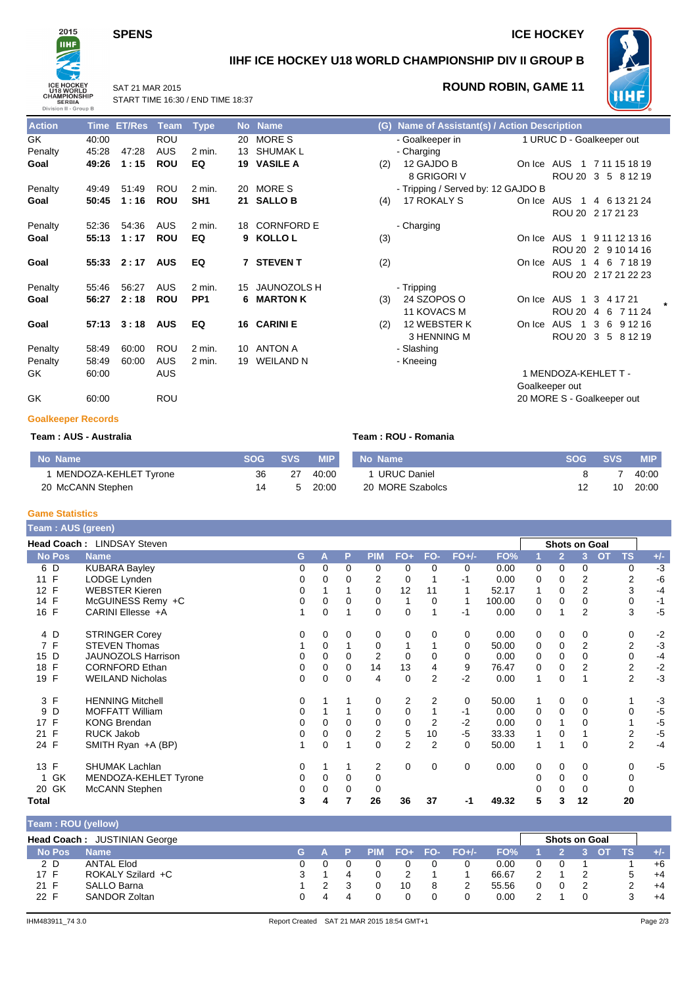## **SPENS** ICE HOCKEY



## **IIHF ICE HOCKEY U18 WORLD CHAMPIONSHIP DIV II GROUP B**



## **ROUND ROBIN, GAME 11**

SAT 21 MAR 2015 START TIME 16:30 / END TIME 18:37

| <b>Action</b> | Time  | <b>ET/Res</b> | <b>Team</b> | <b>Type</b>     |    | No Name            |     | (G) Name of Assistant(s) / Action Description |            |                              |                                |
|---------------|-------|---------------|-------------|-----------------|----|--------------------|-----|-----------------------------------------------|------------|------------------------------|--------------------------------|
| GK            | 40:00 |               | <b>ROU</b>  |                 | 20 | <b>MORES</b>       |     | - Goalkeeper in                               |            |                              | 1 URUC D - Goalkeeper out      |
| Penalty       | 45:28 | 47:28         | <b>AUS</b>  | $2$ min.        | 13 | SHUMAK L           |     | - Charging                                    |            |                              |                                |
| Goal          | 49:26 | 1:15          | <b>ROU</b>  | EQ              |    | 19 VASILE A        | (2) | 12 GAJDO B                                    | On Ice AUS | $\overline{1}$               | 7 11 15 18 19                  |
|               |       |               |             |                 |    |                    |     | 8 GRIGORI V                                   |            |                              | ROU 20 3 5 8 12 19             |
| Penalty       | 49:49 | 51:49         | <b>ROU</b>  | $2$ min.        |    | 20 MORE S          |     | - Tripping / Served by: 12 GAJDO B            |            |                              |                                |
| Goal          | 50:45 | 1:16          | <b>ROU</b>  | SH <sub>1</sub> |    | 21 SALLO B         | (4) | 17 ROKALY S                                   | On Ice AUS | -1                           | 4 6 13 21 24                   |
|               |       |               |             |                 |    |                    |     |                                               |            |                              | ROU 20 2 17 21 23              |
| Penalty       | 52:36 | 54:36         | <b>AUS</b>  | $2$ min.        | 18 | <b>CORNFORD E</b>  |     | - Charging                                    |            |                              |                                |
| Goal          | 55:13 | 1:17          | <b>ROU</b>  | EQ              |    | 9 KOLLO L          | (3) |                                               | On Ice AUS | $\overline{1}$               | 9 11 12 13 16                  |
|               |       |               |             |                 |    |                    |     |                                               |            |                              | ROU 20 2 9 10 14 16            |
| Goal          |       | $55:33$ 2:17  | <b>AUS</b>  | EQ              |    | <b>7 STEVENT</b>   | (2) |                                               | On Ice     | <b>AUS</b><br>$\overline{1}$ | 4 6 7 18 19                    |
|               |       |               |             |                 |    |                    |     |                                               |            |                              | ROU 20 2 17 21 22 23           |
| Penalty       | 55:46 | 56:27         | <b>AUS</b>  | $2$ min.        | 15 | <b>JAUNOZOLS H</b> |     | - Tripping                                    |            |                              |                                |
| Goal          | 56:27 | 2:18          | <b>ROU</b>  | PP <sub>1</sub> | 6. | <b>MARTON K</b>    | (3) | 24 SZOPOS O                                   | On Ice     | AUS<br>$\overline{1}$        | 3 4 1 7 2 1                    |
|               |       |               |             |                 |    |                    |     | <b>11 KOVACS M</b>                            |            | <b>ROU 20</b>                | 7 11 24<br>6<br>$\overline{4}$ |
| Goal          | 57:13 | 3:18          | <b>AUS</b>  | EQ              |    | 16 CARINI E        | (2) | 12 WEBSTER K                                  | On Ice     | <b>AUS</b><br>$\overline{1}$ | 3<br>6<br>9 12 16              |
|               |       |               |             |                 |    |                    |     | 3 HENNING M                                   |            |                              | ROU 20 3 5 8 12 19             |
| Penalty       | 58:49 | 60:00         | <b>ROU</b>  | $2$ min.        | 10 | ANTON A            |     | - Slashing                                    |            |                              |                                |
| Penalty       | 58:49 | 60:00         | <b>AUS</b>  | $2$ min.        | 19 | <b>WEILAND N</b>   |     | - Kneeing                                     |            |                              |                                |
| GK            | 60:00 |               | <b>AUS</b>  |                 |    |                    |     |                                               |            | 1 MENDOZA-KEHLET T -         |                                |
|               |       |               |             |                 |    |                    |     |                                               |            | Goalkeeper out               |                                |

|     | (G) Name of Assistant(s) / Action Description |        |                      |                            |  |
|-----|-----------------------------------------------|--------|----------------------|----------------------------|--|
|     | - Goalkeeper in<br>- Charging                 |        |                      | 1 URUC D - Goalkeeper out  |  |
| (2) | 12 GAJDO B                                    |        |                      | On Ice AUS 1 7 11 15 18 19 |  |
|     | 8 GRIGORI V                                   |        |                      | ROU 20 3 5 8 12 19         |  |
|     | - Tripping / Served by: 12 GAJDO B            |        |                      |                            |  |
| (4) | <b>17 ROKALY S</b>                            | On Ice |                      | AUS 1 4 6 13 21 24         |  |
|     |                                               |        |                      | ROU 20 2 17 21 23          |  |
|     | - Charging                                    |        |                      |                            |  |
| (3) |                                               |        |                      | On Ice AUS 1 9 11 12 13 16 |  |
|     |                                               |        |                      | ROU 20 2 9 10 14 16        |  |
| (2) |                                               |        |                      | On Ice AUS 1 4 6 7 18 19   |  |
|     |                                               |        |                      | ROU 20 2 17 21 22 23       |  |
|     | - Tripping                                    |        |                      |                            |  |
| (3) | 24 SZOPOS O                                   |        |                      | On Ice AUS 1 3 4 17 21     |  |
|     | <b>11 KOVACS M</b>                            |        | ROU 20               | 4<br>6 7 11 24             |  |
| (2) | 12 WEBSTER K                                  |        | On Ice AUS 1         | 3 6 9 1 2 1 6              |  |
|     | 3 HENNING M                                   |        |                      | ROU 20 3 5 8 12 19         |  |
|     | - Slashing                                    |        |                      |                            |  |
|     | - Kneeing                                     |        |                      |                            |  |
|     |                                               |        | 1 MENDOZA-KEHLET T - |                            |  |
|     |                                               |        | Goalkeeper out       |                            |  |
|     |                                               |        |                      |                            |  |

GK 60:00 ROU 20 MORE S - Goalkeeper out

### **Goalkeeper Records**

### **Team : AUS - Australia Team : ROU - Romania**

| No Name               |    | SOG SVS | <b>MIP</b> | l No Name        | <b>SOG</b> | <b>SVS</b> | <b>MIP</b> |
|-----------------------|----|---------|------------|------------------|------------|------------|------------|
| MENDOZA-KEHLET Tyrone | 36 | 27      | 40:00      | 1 URUC Daniel    |            |            | 40:00      |
| 20 McCANN Stephen     | 14 |         | 20:00      | 20 MORE Szabolcs |            | 10         | 20:00      |

### **Game Statistics**

| <b>Team: AUS (green)</b> |                            |    |          |          |                         |                |                |          |        |   |                |                      |                 |       |
|--------------------------|----------------------------|----|----------|----------|-------------------------|----------------|----------------|----------|--------|---|----------------|----------------------|-----------------|-------|
|                          | Head Coach: LINDSAY Steven |    |          |          |                         |                |                |          |        |   |                | <b>Shots on Goal</b> |                 |       |
| <b>No Pos</b>            | <b>Name</b>                | G. | A        | P        | <b>PIM</b>              | $FO+$          | FO-            | $FO+/-$  | FO%    |   | $\overline{2}$ | 3                    | <b>TS</b><br>OT | $+/-$ |
| 6 D                      | <b>KUBARA Bayley</b>       | 0  | $\Omega$ | 0        | 0                       | 0              | $\Omega$       | 0        | 0.00   | 0 | 0              | 0                    | 0               | $-3$  |
| F<br>11                  | LODGE Lynden               | 0  | 0        | 0        | 2                       | 0              |                | -1       | 0.00   | 0 | 0              | 2                    | 2               | -6    |
| 12 F                     | <b>WEBSTER Kieren</b>      | 0  |          |          | 0                       | 12             | 11             |          | 52.17  | 1 | 0              | 2                    | 3               | $-4$  |
| F<br>14                  | McGUINESS Remy +C          | 0  | $\Omega$ | $\Omega$ | 0                       | 1              | $\Omega$       |          | 100.00 | 0 | $\Omega$       | 0                    | 0               | $-1$  |
| 16 F                     | CARINI Ellesse +A          |    | $\Omega$ |          | 0                       | $\mathbf 0$    |                | -1       | 0.00   | 0 |                | 2                    | 3               | $-5$  |
| 4 D                      | <b>STRINGER Corey</b>      | 0  | $\Omega$ | 0        | 0                       | 0              | $\Omega$       | 0        | 0.00   | 0 | 0              | 0                    | 0               | $-2$  |
| 7F                       | <b>STEVEN Thomas</b>       |    | $\Omega$ |          | 0                       |                |                | $\Omega$ | 50.00  | 0 | 0              | $\overline{2}$       | $\overline{2}$  | $-3$  |
| D<br>15                  | <b>JAUNOZOLS Harrison</b>  | 0  | 0        | 0        | 2                       | 0              | 0              | 0        | 0.00   | 0 | 0              | 0                    | 0               | $-4$  |
| F<br>18                  | <b>CORNFORD Ethan</b>      | 0  | $\Omega$ | $\Omega$ | 14                      | 13             | 4              | 9        | 76.47  | 0 | 0              | 2                    | $\overline{2}$  | $-2$  |
| F<br>19                  | <b>WEILAND Nicholas</b>    | 0  | $\Omega$ | 0        | 4                       | 0              | 2              | $-2$     | 0.00   | 1 | 0              |                      | 2               | $-3$  |
| 3 F                      | <b>HENNING Mitchell</b>    | 0  |          |          | 0                       | 2              | 2              | 0        | 50.00  |   | 0              | 0                    |                 | $-3$  |
| D<br>9                   | <b>MOFFATT William</b>     | 0  |          |          | 0                       | 0              |                | $-1$     | 0.00   | 0 | $\Omega$       | 0                    | 0               | $-5$  |
| F<br>17                  | <b>KONG Brendan</b>        | 0  | $\Omega$ | 0        | 0                       | $\mathbf 0$    | 2              | $-2$     | 0.00   | 0 |                | 0                    |                 | $-5$  |
| F<br>21                  | <b>RUCK Jakob</b>          | 0  | 0        | 0        | $\overline{\mathbf{c}}$ | 5              | 10             | $-5$     | 33.33  | 1 | 0              |                      | $\overline{c}$  | $-5$  |
| 24 F                     | SMITH Ryan +A (BP)         | 1  | 0        |          | 0                       | $\overline{2}$ | $\overline{2}$ | 0        | 50.00  | 1 |                | 0                    | $\overline{2}$  | $-4$  |
| F<br>13                  | <b>SHUMAK Lachlan</b>      | 0  |          |          | 2                       | 0              | $\mathbf 0$    | 0        | 0.00   | 0 | 0              | 0                    | 0               | $-5$  |
| GK<br>1                  | MENDOZA-KEHLET Tyrone      | 0  | $\Omega$ | 0        | 0                       |                |                |          |        | 0 | 0              | 0                    | 0               |       |
| 20 GK                    | McCANN Stephen             | 0  | 0        | 0        | 0                       |                |                |          |        |   | $\Omega$       | 0                    | 0               |       |
| Total                    |                            | 3  | 4        |          | 26                      | 36             | 37             | -1       | 49.32  | 5 | 3              | 12                   | 20              |       |

| Team: ROU (yellow) |                              |     |   |  |    |                   |       |                      |  |     |       |
|--------------------|------------------------------|-----|---|--|----|-------------------|-------|----------------------|--|-----|-------|
|                    | Head Coach: JUSTINIAN George |     |   |  |    |                   |       | <b>Shots on Goal</b> |  |     |       |
| <b>No Pos</b>      | <b>Name</b>                  | G . |   |  |    | PIM FO+ FO- FO+/- | FO%   |                      |  | TS. | $+/-$ |
| 2 D                | ANTAL Elod                   |     |   |  |    |                   | 0.00  | 0                    |  |     | $+6$  |
| 17 F               | ROKALY Szilard +C            |     |   |  |    |                   | 66.67 |                      |  | 5   | $+4$  |
| 21 F               | SALLO Barna                  |     |   |  | 10 |                   | 55.56 |                      |  | っ   | $+4$  |
| 22 F               | SANDOR Zoltan                |     | 4 |  |    |                   | 0.00  |                      |  |     | $+4$  |